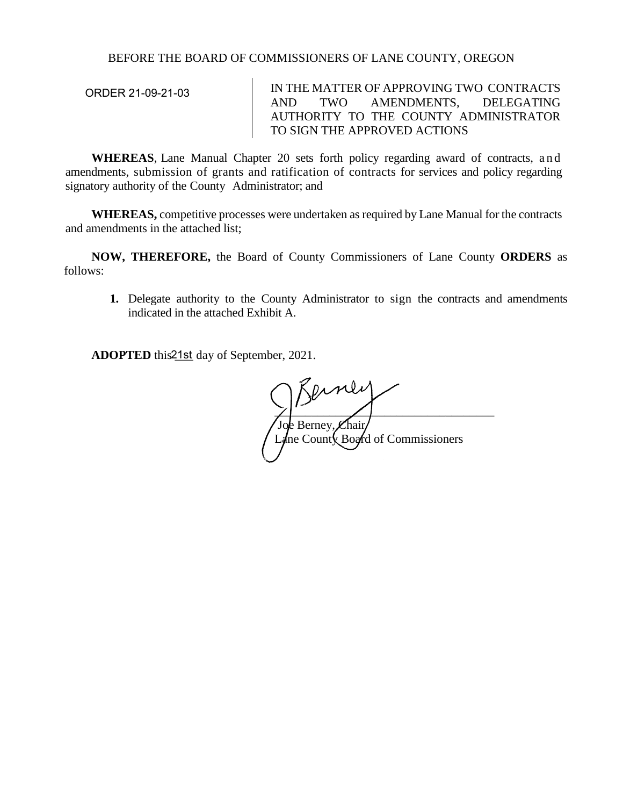## BEFORE THE BOARD OF COMMISSIONERS OF LANE COUNTY, OREGON

| ORDER 21-09-21-03 | IN THE MATTER OF APPROVING TWO CONTRACTS |  |  |                                       |  |  |
|-------------------|------------------------------------------|--|--|---------------------------------------|--|--|
|                   | AND.                                     |  |  | TWO AMENDMENTS, DELEGATING            |  |  |
|                   |                                          |  |  | AUTHORITY TO THE COUNTY ADMINISTRATOR |  |  |
|                   | TO SIGN THE APPROVED ACTIONS             |  |  |                                       |  |  |

**WHEREAS**, Lane Manual Chapter 20 sets forth policy regarding award of contracts, and amendments, submission of grants and ratification of contracts for services and policy regarding signatory authority of the County Administrator; and

**WHEREAS,** competitive processes were undertaken as required by Lane Manual for the contracts and amendments in the attached list;

**NOW, THEREFORE,** the Board of County Commissioners of Lane County **ORDERS** as follows:

**1.** Delegate authority to the County Administrator to sign the contracts and amendments indicated in the attached Exhibit A.

ADOPTED this 21st day of September, 2021.

 $\frac{1}{2}$ Joe Berney, Chair/ Lane County Board of Commissioners